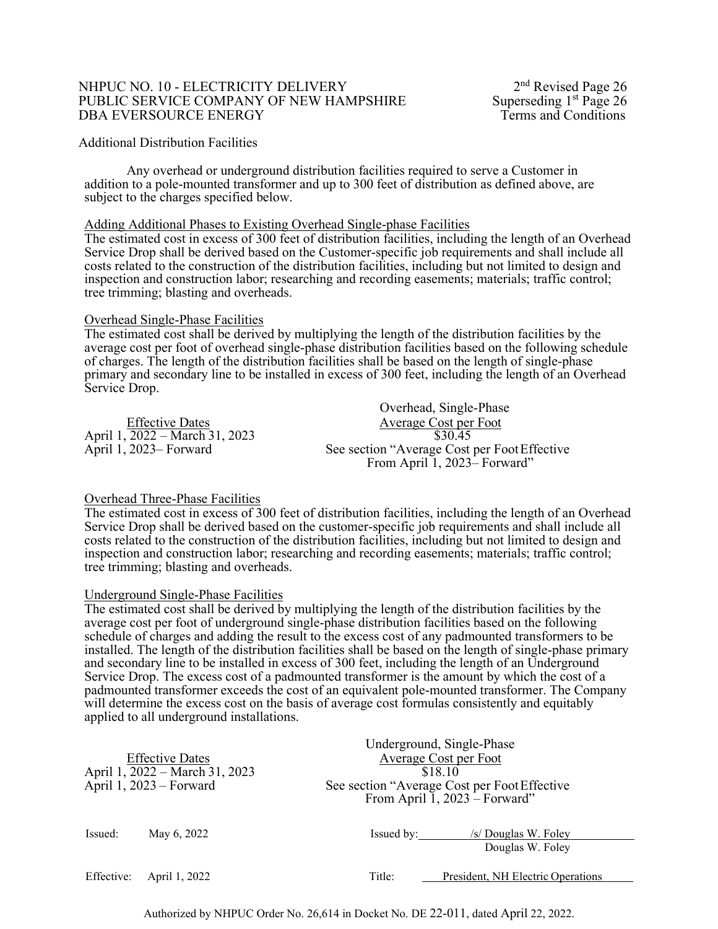## NHPUC NO. 10 - ELECTRICITY DELIVERY<br>
PUBLIC SERVICE COMPANY OF NEW HAMPSHIRE Superseding 1<sup>st</sup> Page 26 PUBLIC SERVICE COMPANY OF NEW HAMPSHIRE Superseding 1<sup>st</sup> Page 26<br>DBA EVERSOURCE ENERGY Terms and Conditions DBA EVERSOURCE ENERGY

## Additional Distribution Facilities

Any overhead or underground distribution facilities required to serve a Customer in addition to a pole-mounted transformer and up to 300 feet of distribution as defined above, are subject to the charges specified below.

## Adding Additional Phases to Existing Overhead Single-phase Facilities

The estimated cost in excess of 300 feet of distribution facilities, including the length of an Overhead Service Drop shall be derived based on the Customer-specific job requirements and shall include all costs related to the construction of the distribution facilities, including but not limited to design and inspection and construction labor; researching and recording easements; materials; traffic control; tree trimming; blasting and overheads.

## Overhead Single-Phase Facilities

The estimated cost shall be derived by multiplying the length of the distribution facilities by the average cost per foot of overhead single-phase distribution facilities based on the following schedule of charges. The length of the distribution facilities shall be based on the length of single-phase primary and secondary line to be installed in excess of 300 feet, including the length of an Overhead Service Drop.

|                                | Overhead, Single-Phase                       |
|--------------------------------|----------------------------------------------|
|                                |                                              |
| <b>Effective Dates</b>         | Average Cost per Foot                        |
| April 1, 2022 – March 31, 2023 | \$30.45                                      |
| April 1, 2023– Forward         | See section "Average Cost per Foot Effective |
|                                | From April 1, 2023 Forward"                  |

## Overhead Three-Phase Facilities

The estimated cost in excess of 300 feet of distribution facilities, including the length of an Overhead Service Drop shall be derived based on the customer-specific job requirements and shall include all costs related to the construction of the distribution facilities, including but not limited to design and inspection and construction labor; researching and recording easements; materials; traffic control; tree trimming; blasting and overheads.

## Underground Single-Phase Facilities

The estimated cost shall be derived by multiplying the length of the distribution facilities by the average cost per foot of underground single-phase distribution facilities based on the following schedule of charges and adding the result to the excess cost of any padmounted transformers to be installed. The length of the distribution facilities shall be based on the length of single-phase primary and secondary line to be installed in excess of 300 feet, including the length of an Underground Service Drop. The excess cost of a padmounted transformer is the amount by which the cost of a padmounted transformer exceeds the cost of an equivalent pole-mounted transformer. The Company will determine the excess cost on the basis of average cost formulas consistently and equitably applied to all underground installations.

|                                |               | Underground, Single-Phase                     |                                   |
|--------------------------------|---------------|-----------------------------------------------|-----------------------------------|
| <b>Effective Dates</b>         |               | Average Cost per Foot                         |                                   |
| April 1, 2022 – March 31, 2023 |               | \$18.10                                       |                                   |
| April 1, 2023 – Forward        |               | See section "Average Cost per Foot Effective" |                                   |
|                                |               | From April 1, 2023 – Forward"                 |                                   |
|                                |               |                                               |                                   |
| Issued:                        | May 6, 2022   | Is sued by:                                   | /s/ Douglas W. Foley              |
|                                |               |                                               | Douglas W. Foley                  |
|                                |               |                                               |                                   |
| Effective:                     | April 1, 2022 | Title:                                        | President, NH Electric Operations |

Authorized by NHPUC Order No. 26,614 in Docket No. DE 22-011, dated April 22, 2022.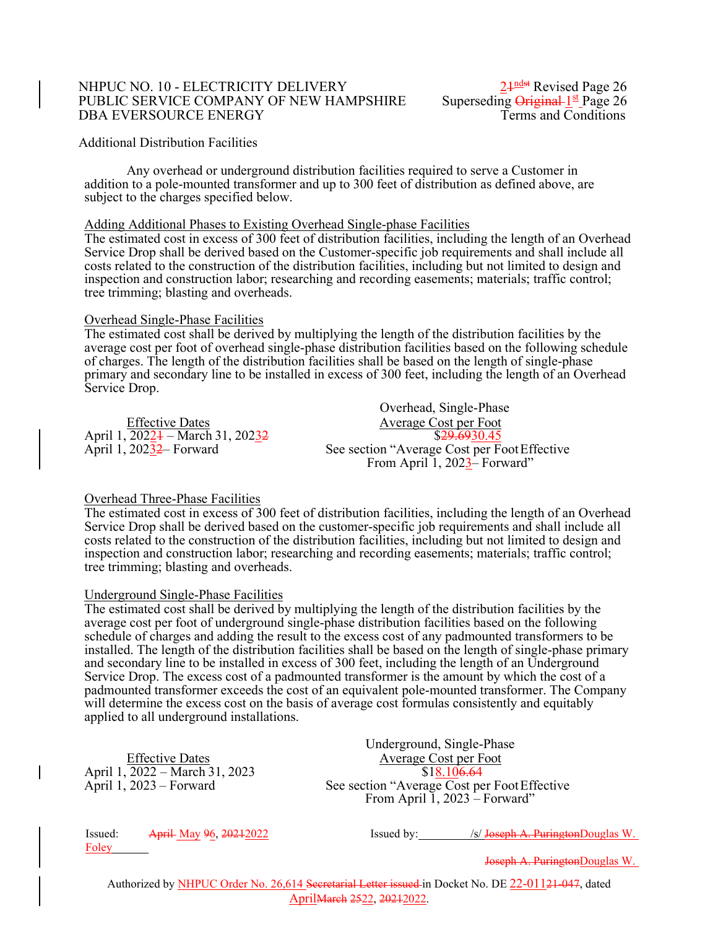## NHPUC NO. 10 - ELECTRICITY DELIVERY<br>PUBLIC SERVICE COMPANY OF NEW HAMPSHIRE Superseding  $\frac{21^{ndst}}{4}$  Page 26 PUBLIC SERVICE COMPANY OF NEW HAMPSHIRE Superseding Original 1st Page 26<br>DBA EVERSOURCE ENERGY Terms and Conditions DBA EVERSOURCE ENERGY

2<sup>1ndst</sup> Revised Page 26

## Additional Distribution Facilities

Any overhead or underground distribution facilities required to serve a Customer in addition to a pole-mounted transformer and up to 300 feet of distribution as defined above, are subject to the charges specified below.

## Adding Additional Phases to Existing Overhead Single-phase Facilities

The estimated cost in excess of 300 feet of distribution facilities, including the length of an Overhead Service Drop shall be derived based on the Customer-specific job requirements and shall include all costs related to the construction of the distribution facilities, including but not limited to design and inspection and construction labor; researching and recording easements; materials; traffic control; tree trimming; blasting and overheads.

## Overhead Single-Phase Facilities

The estimated cost shall be derived by multiplying the length of the distribution facilities by the average cost per foot of overhead single-phase distribution facilities based on the following schedule of charges. The length of the distribution facilities shall be based on the length of single-phase primary and secondary line to be installed in excess of 300 feet, including the length of an Overhead Service Drop.

April 1, 20224 – March 31, 20232<br>April 1, 20232– Forward

Overhead, Single-Phase Effective Dates<br>
2022 + - March 31, 2023 42<br>
Average Cost per Foot<br>
829,6930.45 See section "Average Cost per Foot Effective From April  $1, 2023$ – Forward"

## Overhead Three-Phase Facilities

The estimated cost in excess of 300 feet of distribution facilities, including the length of an Overhead Service Drop shall be derived based on the customer-specific job requirements and shall include all costs related to the construction of the distribution facilities, including but not limited to design and inspection and construction labor; researching and recording easements; materials; traffic control; tree trimming; blasting and overheads.

## Underground Single-Phase Facilities

The estimated cost shall be derived by multiplying the length of the distribution facilities by the average cost per foot of underground single-phase distribution facilities based on the following schedule of charges and adding the result to the excess cost of any padmounted transformers to be installed. The length of the distribution facilities shall be based on the length of single-phase primary and secondary line to be installed in excess of 300 feet, including the length of an Underground Service Drop. The excess cost of a padmounted transformer is the amount by which the cost of a padmounted transformer exceeds the cost of an equivalent pole-mounted transformer. The Company will determine the excess cost on the basis of average cost formulas consistently and equitably applied to all underground installations.

April 1, 2022 – March 31, 2023<br>April 1, 2023 – Forward

Underground, Single-Phase Effective Dates<br>
2022 – March 31, 2023<br>
818.10<del>6.64</del> See section "Average Cost per Foot Effective" From April  $\overline{1}$ , 2023 – Forward"

Foley

Issued: April May 96, 2021/2022 Issued by: /s/ Joseph A. PuringtonDouglas W.

Joseph A. PuringtonDouglas W.

Authorized by NHPUC Order No. 26,614 Secretarial Letter issued in Docket No. DE 22-01121-047, dated AprilMarch 2522, 20212022.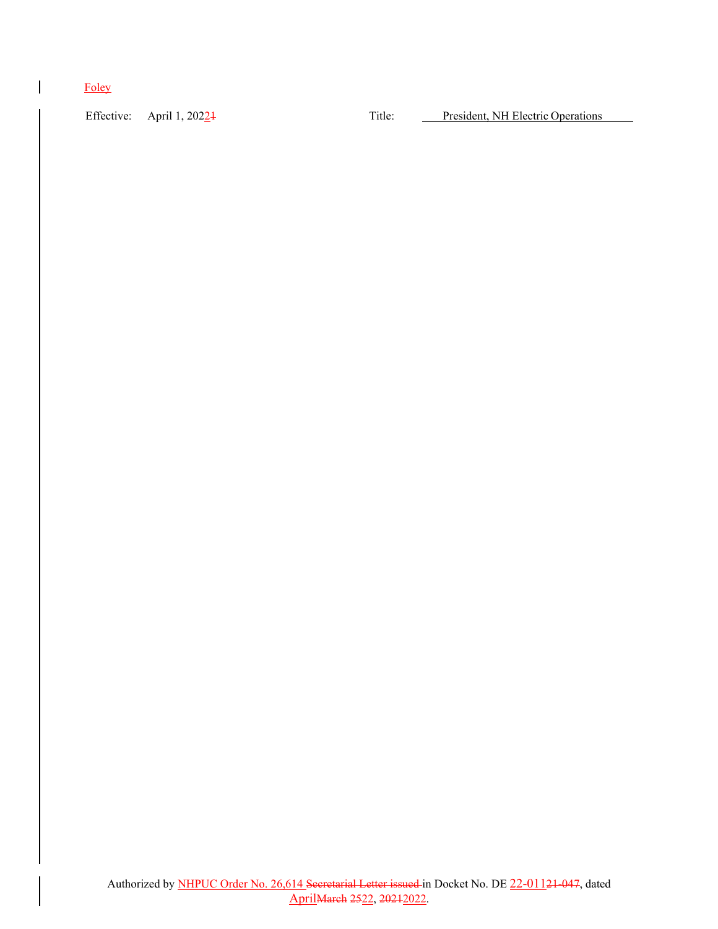# Foley

Effective: April 1, 20224 Title: President, NH Electric Operations